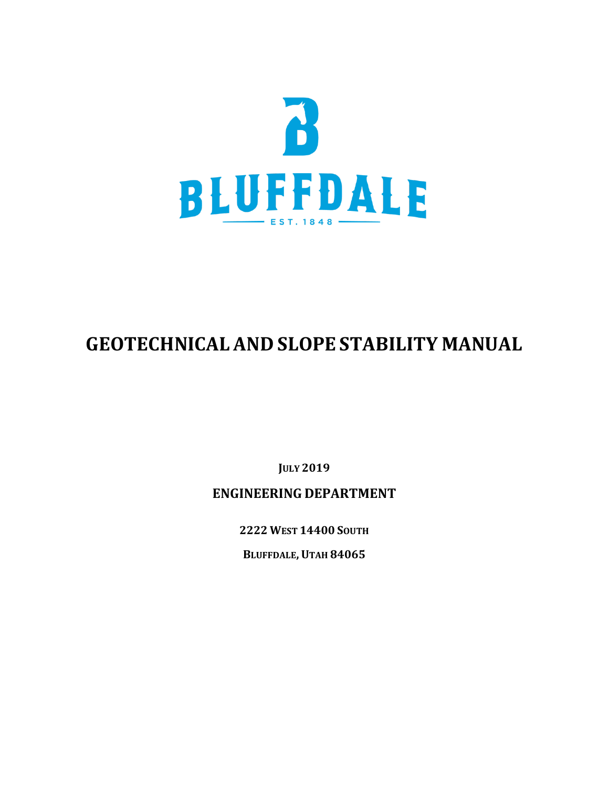

# **GEOTECHNICAL AND SLOPE STABILITY MANUAL**

**JULY 2019**

# **ENGINEERING DEPARTMENT**

**2222 WEST 14400 SOUTH**

**BLUFFDALE,UTAH 84065**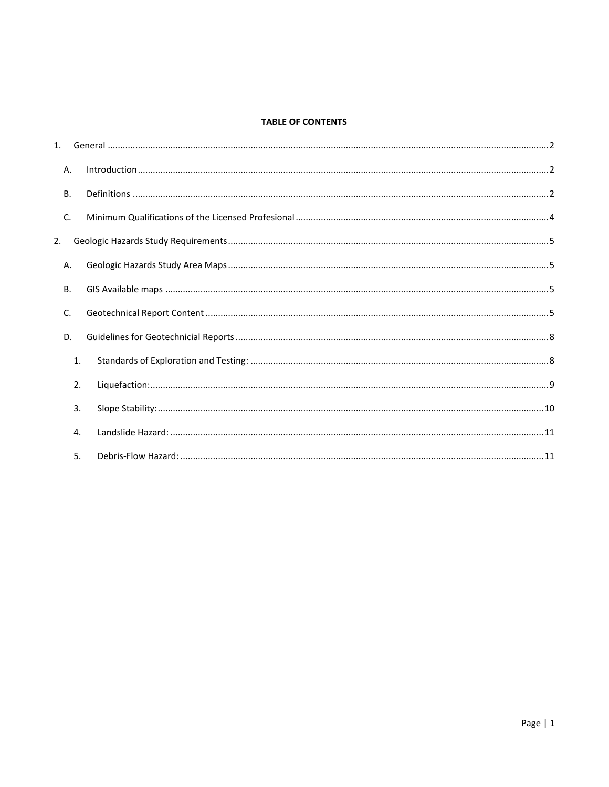## **TABLE OF CONTENTS**

|    | Α.        |  |
|----|-----------|--|
|    | <b>B.</b> |  |
|    | C.        |  |
| 2. |           |  |
|    | Α.        |  |
|    | <b>B.</b> |  |
|    | C.        |  |
|    | D.        |  |
|    | 1.        |  |
|    | 2.        |  |
|    | 3.        |  |
|    | 4.        |  |
|    | 5.        |  |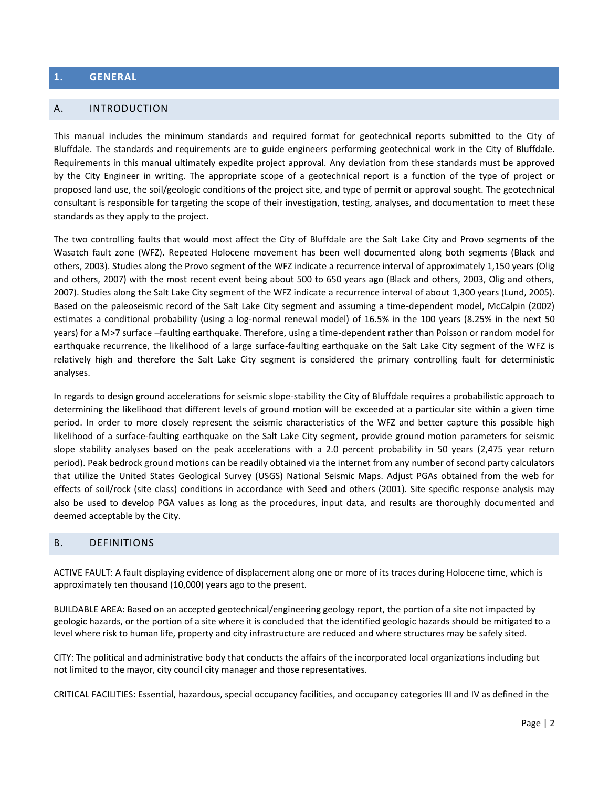#### <span id="page-2-0"></span>**1. GENERAL**

#### <span id="page-2-1"></span>A. INTRODUCTION

This manual includes the minimum standards and required format for geotechnical reports submitted to the City of Bluffdale. The standards and requirements are to guide engineers performing geotechnical work in the City of Bluffdale. Requirements in this manual ultimately expedite project approval. Any deviation from these standards must be approved by the City Engineer in writing. The appropriate scope of a geotechnical report is a function of the type of project or proposed land use, the soil/geologic conditions of the project site, and type of permit or approval sought. The geotechnical consultant is responsible for targeting the scope of their investigation, testing, analyses, and documentation to meet these standards as they apply to the project.

The two controlling faults that would most affect the City of Bluffdale are the Salt Lake City and Provo segments of the Wasatch fault zone (WFZ). Repeated Holocene movement has been well documented along both segments (Black and others, 2003). Studies along the Provo segment of the WFZ indicate a recurrence interval of approximately 1,150 years (Olig and others, 2007) with the most recent event being about 500 to 650 years ago (Black and others, 2003, Olig and others, 2007). Studies along the Salt Lake City segment of the WFZ indicate a recurrence interval of about 1,300 years (Lund, 2005). Based on the paleoseismic record of the Salt Lake City segment and assuming a time-dependent model, McCalpin (2002) estimates a conditional probability (using a log-normal renewal model) of 16.5% in the 100 years (8.25% in the next 50 years) for a M>7 surface –faulting earthquake. Therefore, using a time-dependent rather than Poisson or random model for earthquake recurrence, the likelihood of a large surface-faulting earthquake on the Salt Lake City segment of the WFZ is relatively high and therefore the Salt Lake City segment is considered the primary controlling fault for deterministic analyses.

In regards to design ground accelerations for seismic slope-stability the City of Bluffdale requires a probabilistic approach to determining the likelihood that different levels of ground motion will be exceeded at a particular site within a given time period. In order to more closely represent the seismic characteristics of the WFZ and better capture this possible high likelihood of a surface-faulting earthquake on the Salt Lake City segment, provide ground motion parameters for seismic slope stability analyses based on the peak accelerations with a 2.0 percent probability in 50 years (2,475 year return period). Peak bedrock ground motions can be readily obtained via the internet from any number of second party calculators that utilize the United States Geological Survey (USGS) National Seismic Maps. Adjust PGAs obtained from the web for effects of soil/rock (site class) conditions in accordance with Seed and others (2001). Site specific response analysis may also be used to develop PGA values as long as the procedures, input data, and results are thoroughly documented and deemed acceptable by the City.

#### <span id="page-2-2"></span>B. DEFINITIONS

ACTIVE FAULT: A fault displaying evidence of displacement along one or more of its traces during Holocene time, which is approximately ten thousand (10,000) years ago to the present.

BUILDABLE AREA: Based on an accepted geotechnical/engineering geology report, the portion of a site not impacted by geologic hazards, or the portion of a site where it is concluded that the identified geologic hazards should be mitigated to a level where risk to human life, property and city infrastructure are reduced and where structures may be safely sited.

CITY: The political and administrative body that conducts the affairs of the incorporated local organizations including but not limited to the mayor, city council city manager and those representatives.

CRITICAL FACILITIES: Essential, hazardous, special occupancy facilities, and occupancy categories III and IV as defined in the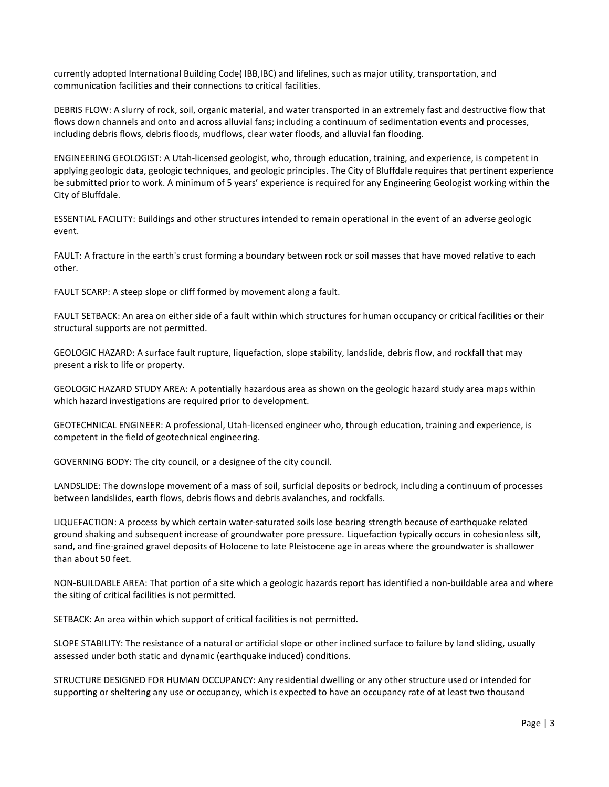currently adopted International Building Code( IBB,IBC) and lifelines, such as major utility, transportation, and communication facilities and their connections to critical facilities.

DEBRIS FLOW: A slurry of rock, soil, organic material, and water transported in an extremely fast and destructive flow that flows down channels and onto and across alluvial fans; including a continuum of sedimentation events and processes, including debris flows, debris floods, mudflows, clear water floods, and alluvial fan flooding.

ENGINEERING GEOLOGIST: A Utah-licensed geologist, who, through education, training, and experience, is competent in applying geologic data, geologic techniques, and geologic principles. The City of Bluffdale requires that pertinent experience be submitted prior to work. A minimum of 5 years' experience is required for any Engineering Geologist working within the City of Bluffdale.

ESSENTIAL FACILITY: Buildings and other structures intended to remain operational in the event of an adverse geologic event.

FAULT: A fracture in the earth's crust forming a boundary between rock or soil masses that have moved relative to each other.

FAULT SCARP: A steep slope or cliff formed by movement along a fault.

FAULT SETBACK: An area on either side of a fault within which structures for human occupancy or critical facilities or their structural supports are not permitted.

GEOLOGIC HAZARD: A surface fault rupture, liquefaction, slope stability, landslide, debris flow, and rockfall that may present a risk to life or property.

GEOLOGIC HAZARD STUDY AREA: A potentially hazardous area as shown on the geologic hazard study area maps within which hazard investigations are required prior to development.

GEOTECHNICAL ENGINEER: A professional, Utah-licensed engineer who, through education, training and experience, is competent in the field of geotechnical engineering.

GOVERNING BODY: The city council, or a designee of the city council.

LANDSLIDE: The downslope movement of a mass of soil, surficial deposits or bedrock, including a continuum of processes between landslides, earth flows, debris flows and debris avalanches, and rockfalls.

LIQUEFACTION: A process by which certain water-saturated soils lose bearing strength because of earthquake related ground shaking and subsequent increase of groundwater pore pressure. Liquefaction typically occurs in cohesionless silt, sand, and fine-grained gravel deposits of Holocene to late Pleistocene age in areas where the groundwater is shallower than about 50 feet.

NON-BUILDABLE AREA: That portion of a site which a geologic hazards report has identified a non-buildable area and where the siting of critical facilities is not permitted.

SETBACK: An area within which support of critical facilities is not permitted.

SLOPE STABILITY: The resistance of a natural or artificial slope or other inclined surface to failure by land sliding, usually assessed under both static and dynamic (earthquake induced) conditions.

STRUCTURE DESIGNED FOR HUMAN OCCUPANCY: Any residential dwelling or any other structure used or intended for supporting or sheltering any use or occupancy, which is expected to have an occupancy rate of at least two thousand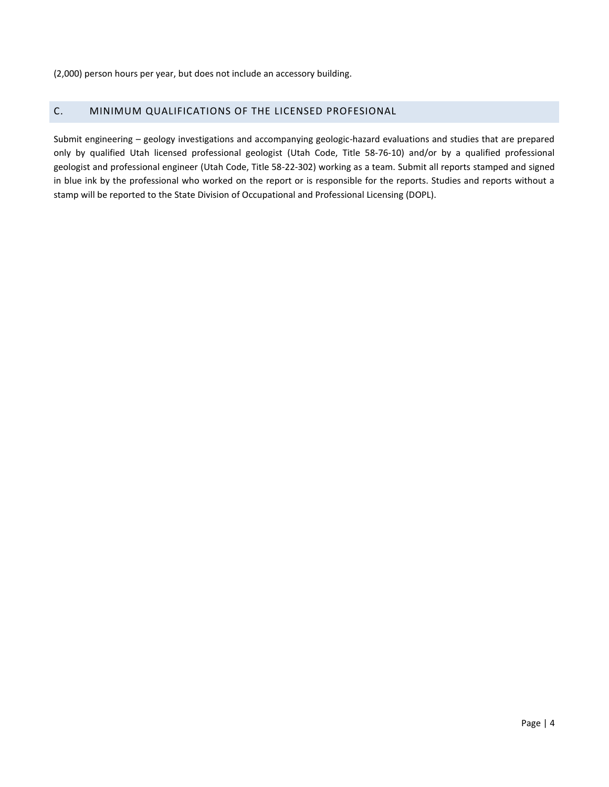(2,000) person hours per year, but does not include an accessory building.

#### <span id="page-4-0"></span>C. MINIMUM QUALIFICATIONS OF THE LICENSED PROFESIONAL

Submit engineering – geology investigations and accompanying geologic-hazard evaluations and studies that are prepared only by qualified Utah licensed professional geologist (Utah Code, Title 58-76-10) and/or by a qualified professional geologist and professional engineer (Utah Code, Title 58-22-302) working as a team. Submit all reports stamped and signed in blue ink by the professional who worked on the report or is responsible for the reports. Studies and reports without a stamp will be reported to the State Division of Occupational and Professional Licensing (DOPL).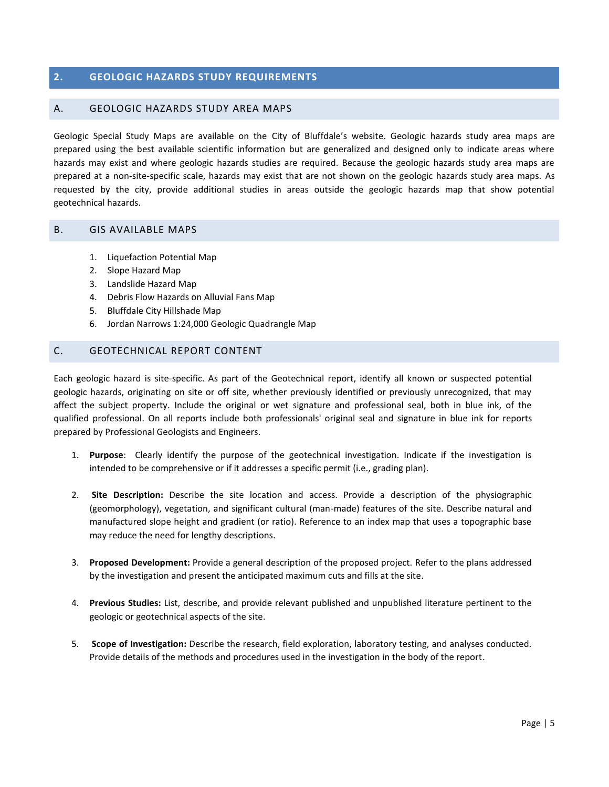#### <span id="page-5-0"></span>**2. GEOLOGIC HAZARDS STUDY REQUIREMENTS**

#### <span id="page-5-1"></span>A. GEOLOGIC HAZARDS STUDY AREA MAPS

Geologic Special Study Maps are available on the City of Bluffdale's website. Geologic hazards study area maps are prepared using the best available scientific information but are generalized and designed only to indicate areas where hazards may exist and where geologic hazards studies are required. Because the geologic hazards study area maps are prepared at a non-site-specific scale, hazards may exist that are not shown on the geologic hazards study area maps. As requested by the city, provide additional studies in areas outside the geologic hazards map that show potential geotechnical hazards.

#### <span id="page-5-2"></span>B. GIS AVAILABLE MAPS

- 1. Liquefaction Potential Map
- 2. Slope Hazard Map
- 3. Landslide Hazard Map
- 4. Debris Flow Hazards on Alluvial Fans Map
- 5. Bluffdale City Hillshade Map
- 6. Jordan Narrows 1:24,000 Geologic Quadrangle Map

#### <span id="page-5-3"></span>C. GEOTECHNICAL REPORT CONTENT

Each geologic hazard is site-specific. As part of the Geotechnical report, identify all known or suspected potential geologic hazards, originating on site or off site, whether previously identified or previously unrecognized, that may affect the subject property. Include the original or wet signature and professional seal, both in blue ink, of the qualified professional. On all reports include both professionals' original seal and signature in blue ink for reports prepared by Professional Geologists and Engineers.

- 1. **Purpose**: Clearly identify the purpose of the geotechnical investigation. Indicate if the investigation is intended to be comprehensive or if it addresses a specific permit (i.e., grading plan).
- 2. **Site Description:** Describe the site location and access. Provide a description of the physiographic (geomorphology), vegetation, and significant cultural (man-made) features of the site. Describe natural and manufactured slope height and gradient (or ratio). Reference to an index map that uses a topographic base may reduce the need for lengthy descriptions.
- 3. **Proposed Development:** Provide a general description of the proposed project. Refer to the plans addressed by the investigation and present the anticipated maximum cuts and fills at the site.
- 4. **Previous Studies:** List, describe, and provide relevant published and unpublished literature pertinent to the geologic or geotechnical aspects of the site.
- 5. **Scope of Investigation:** Describe the research, field exploration, laboratory testing, and analyses conducted. Provide details of the methods and procedures used in the investigation in the body of the report.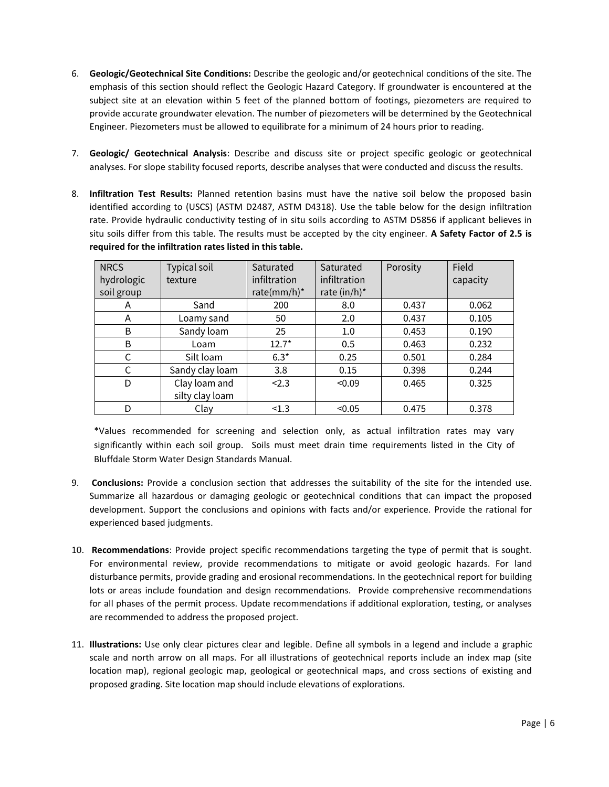- 6. **Geologic/Geotechnical Site Conditions:** Describe the geologic and/or geotechnical conditions of the site. The emphasis of this section should reflect the Geologic Hazard Category. If groundwater is encountered at the subject site at an elevation within 5 feet of the planned bottom of footings, piezometers are required to provide accurate groundwater elevation. The number of piezometers will be determined by the Geotechnical Engineer. Piezometers must be allowed to equilibrate for a minimum of 24 hours prior to reading.
- 7. **Geologic/ Geotechnical Analysis**: Describe and discuss site or project specific geologic or geotechnical analyses. For slope stability focused reports, describe analyses that were conducted and discuss the results.
- 8. **Infiltration Test Results:** Planned retention basins must have the native soil below the proposed basin identified according to (USCS) (ASTM D2487, ASTM D4318). Use the table below for the design infiltration rate. Provide hydraulic conductivity testing of in situ soils according to ASTM D5856 if applicant believes in situ soils differ from this table. The results must be accepted by the city engineer. **A Safety Factor of 2.5 is required for the infiltration rates listed in this table.**

| <b>NRCS</b><br>hydrologic<br>soil group | Typical soil<br>texture          | Saturated<br>infiltration<br>rate(mm/h)* | Saturated<br>infiltration<br>rate $(in/h)^*$ | Porosity | Field<br>capacity |
|-----------------------------------------|----------------------------------|------------------------------------------|----------------------------------------------|----------|-------------------|
| A                                       | Sand                             | 200                                      | 8.0                                          | 0.437    | 0.062             |
| Α                                       | Loamy sand                       | 50                                       | 2.0                                          | 0.437    | 0.105             |
| B                                       | Sandy loam                       | 25                                       | 1.0                                          | 0.453    | 0.190             |
| B                                       | Loam                             | $12.7*$                                  | 0.5                                          | 0.463    | 0.232             |
| C                                       | Silt loam                        | $6.3*$                                   | 0.25                                         | 0.501    | 0.284             |
| $\mathsf{C}$                            | Sandy clay loam                  | 3.8                                      | 0.15                                         | 0.398    | 0.244             |
| D                                       | Clay loam and<br>silty clay loam | < 2.3                                    | < 0.09                                       | 0.465    | 0.325             |
| D                                       | Clay                             | < 1.3                                    | < 0.05                                       | 0.475    | 0.378             |

\*Values recommended for screening and selection only, as actual infiltration rates may vary significantly within each soil group. Soils must meet drain time requirements listed in the City of Bluffdale Storm Water Design Standards Manual.

- 9. **Conclusions:** Provide a conclusion section that addresses the suitability of the site for the intended use. Summarize all hazardous or damaging geologic or geotechnical conditions that can impact the proposed development. Support the conclusions and opinions with facts and/or experience. Provide the rational for experienced based judgments.
- 10. **Recommendations**: Provide project specific recommendations targeting the type of permit that is sought. For environmental review, provide recommendations to mitigate or avoid geologic hazards. For land disturbance permits, provide grading and erosional recommendations. In the geotechnical report for building lots or areas include foundation and design recommendations. Provide comprehensive recommendations for all phases of the permit process. Update recommendations if additional exploration, testing, or analyses are recommended to address the proposed project.
- 11. **Illustrations:** Use only clear pictures clear and legible. Define all symbols in a legend and include a graphic scale and north arrow on all maps. For all illustrations of geotechnical reports include an index map (site location map), regional geologic map, geological or geotechnical maps, and cross sections of existing and proposed grading. Site location map should include elevations of explorations.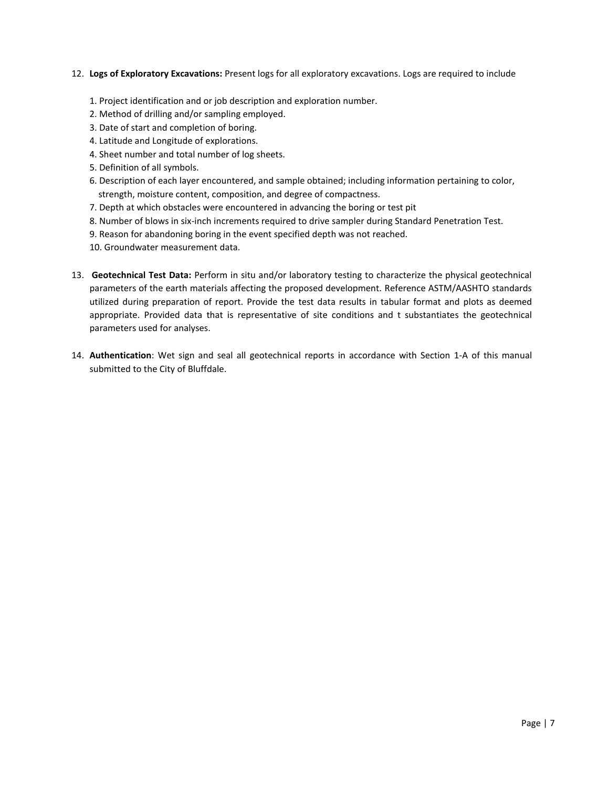#### 12. **Logs of Exploratory Excavations:** Present logs for all exploratory excavations. Logs are required to include

- 1. Project identification and or job description and exploration number.
- 2. Method of drilling and/or sampling employed.
- 3. Date of start and completion of boring.
- 4. Latitude and Longitude of explorations.
- 4. Sheet number and total number of log sheets.
- 5. Definition of all symbols.
- 6. Description of each layer encountered, and sample obtained; including information pertaining to color, strength, moisture content, composition, and degree of compactness.
- 7. Depth at which obstacles were encountered in advancing the boring or test pit
- 8. Number of blows in six-inch increments required to drive sampler during Standard Penetration Test.
- 9. Reason for abandoning boring in the event specified depth was not reached.

10. Groundwater measurement data.

- 13. **Geotechnical Test Data:** Perform in situ and/or laboratory testing to characterize the physical geotechnical parameters of the earth materials affecting the proposed development. Reference ASTM/AASHTO standards utilized during preparation of report. Provide the test data results in tabular format and plots as deemed appropriate. Provided data that is representative of site conditions and t substantiates the geotechnical parameters used for analyses.
- 14. **Authentication**: Wet sign and seal all geotechnical reports in accordance with Section 1-A of this manual submitted to the City of Bluffdale.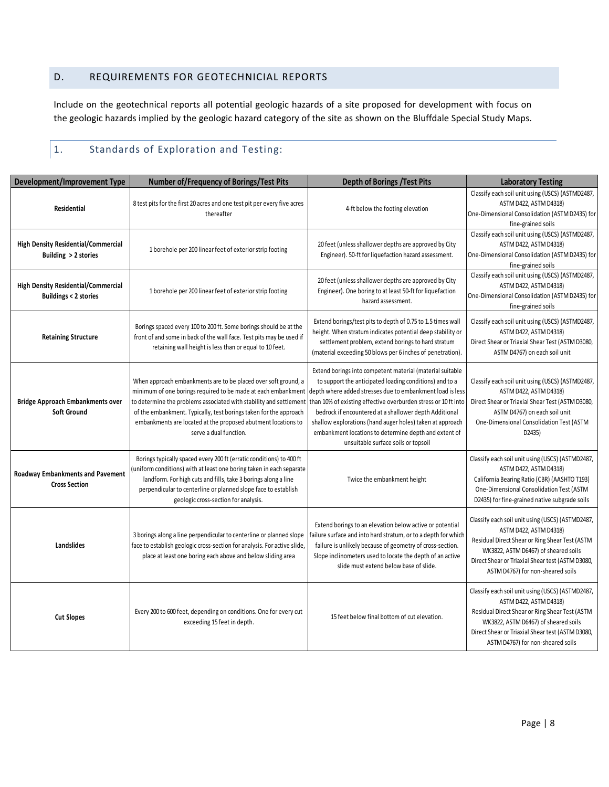# <span id="page-8-0"></span>D. REQUIREMENTS FOR GEOTECHNICIAL REPORTS

Include on the geotechnical reports all potential geologic hazards of a site proposed for development with focus on the geologic hazards implied by the geologic hazard category of the site as shown on the Bluffdale Special Study Maps.

# <span id="page-8-1"></span>1. Standards of Exploration and Testing:

| <b>Development/Improvement Type</b>                                           | <b>Number of/Frequency of Borings/Test Pits</b>                                                                                                                                                                                                                                                                                                                       | <b>Depth of Borings / Test Pits</b>                                                                                                                                                                                                                                                                                                                                                                                                                                        | <b>Laboratory Testing</b>                                                                                                                                                                                                                                     |
|-------------------------------------------------------------------------------|-----------------------------------------------------------------------------------------------------------------------------------------------------------------------------------------------------------------------------------------------------------------------------------------------------------------------------------------------------------------------|----------------------------------------------------------------------------------------------------------------------------------------------------------------------------------------------------------------------------------------------------------------------------------------------------------------------------------------------------------------------------------------------------------------------------------------------------------------------------|---------------------------------------------------------------------------------------------------------------------------------------------------------------------------------------------------------------------------------------------------------------|
| Residential                                                                   | 8 test pits for the first 20 acres and one test pit per every five acres<br>thereafter                                                                                                                                                                                                                                                                                | 4-ft below the footing elevation                                                                                                                                                                                                                                                                                                                                                                                                                                           | Classify each soil unit using (USCS) (ASTMD2487,<br>ASTM D422, ASTM D4318)<br>One-Dimensional Consolidation (ASTM D2435) for<br>fine-grained soils                                                                                                            |
| <b>High Density Residential/Commercial</b><br>Building > 2 stories            | 1 borehole per 200 linear feet of exterior strip footing                                                                                                                                                                                                                                                                                                              | 20 feet (unless shallower depths are approved by City<br>Engineer). 50-ft for liquefaction hazard assessment.                                                                                                                                                                                                                                                                                                                                                              | Classify each soil unit using (USCS) (ASTMD2487,<br>ASTM D422, ASTM D4318)<br>One-Dimensional Consolidation (ASTM D2435) for<br>fine-grained soils                                                                                                            |
| <b>High Density Residential/Commercial</b><br><b>Buildings &lt; 2 stories</b> | 1 borehole per 200 linear feet of exterior strip footing                                                                                                                                                                                                                                                                                                              | 20 feet (unless shallower depths are approved by City<br>Engineer). One boring to at least 50-ft for liquefaction<br>hazard assessment.                                                                                                                                                                                                                                                                                                                                    | Classify each soil unit using (USCS) (ASTMD2487,<br>ASTM D422, ASTM D4318)<br>One-Dimensional Consolidation (ASTM D2435) for<br>fine-grained soils                                                                                                            |
| <b>Retaining Structure</b>                                                    | Borings spaced every 100 to 200 ft. Some borings should be at the<br>front of and some in back of the wall face. Test pits may be used if<br>retaining wall height is less than or equal to 10 feet.                                                                                                                                                                  | Extend borings/test pits to depth of 0.75 to 1.5 times wall<br>height. When stratum indicates potential deep stability or<br>settlement problem, extend borings to hard stratum<br>(material exceeding 50 blows per 6 inches of penetration).                                                                                                                                                                                                                              | Classify each soil unit using (USCS) (ASTMD2487,<br>ASTM D422, ASTM D4318)<br>Direct Shear or Triaxial Shear Test (ASTM D3080,<br>ASTM D4767) on each soil unit                                                                                               |
| <b>Bridge Approach Embankments over</b><br><b>Soft Ground</b>                 | When approach embankments are to be placed over soft ground, a<br>minimum of one borings required to be made at each embankment<br>to determine the problems associated with stability and settlement<br>of the embankment. Typically, test borings taken for the approach<br>embankments are located at the proposed abutment locations to<br>serve a dual function. | Extend borings into competent material (material suitable<br>to support the anticipated loading conditions) and to a<br>depth where added stresses due to embankment load is less<br>than 10% of existing effective overburden stress or 10 ft into<br>bedrock if encountered at a shallower depth Additional<br>shallow explorations (hand auger holes) taken at approach<br>embankment locations to determine depth and extent of<br>unsuitable surface soils or topsoil | Classify each soil unit using (USCS) (ASTMD2487,<br>ASTM D422, ASTM D4318)<br>Direct Shear or Triaxial Shear Test (ASTM D3080,<br>ASTM D4767) on each soil unit<br>One-Dimensional Consolidation Test (ASTM<br>D2435)                                         |
| <b>Roadway Embankments and Pavement</b><br><b>Cross Section</b>               | Borings typically spaced every 200 ft (erratic conditions) to 400 ft<br>uniform conditions) with at least one boring taken in each separate<br>landform. For high cuts and fills, take 3 borings along a line<br>perpendicular to centerline or planned slope face to establish<br>geologic cross-section for analysis.                                               | Twice the embankment height                                                                                                                                                                                                                                                                                                                                                                                                                                                | Classify each soil unit using (USCS) (ASTMD2487,<br>ASTM D422, ASTM D4318)<br>California Bearing Ratio (CBR) (AASHTO T193)<br>One-Dimensional Consolidation Test (ASTM<br>D2435) for fine-grained native subgrade soils                                       |
| <b>Landslides</b>                                                             | 3 borings along a line perpendicular to centerline or planned slope<br>face to establish geologic cross-section for analysis. For active slide,<br>place at least one boring each above and below sliding area                                                                                                                                                        | Extend borings to an elevation below active or potential<br>ailure surface and into hard stratum, or to a depth for which<br>failure is unlikely because of geometry of cross-section.<br>Slope inclinometers used to locate the depth of an active<br>slide must extend below base of slide.                                                                                                                                                                              | Classify each soil unit using (USCS) (ASTMD2487,<br>ASTM D422, ASTM D4318)<br>Residual Direct Shear or Ring Shear Test (ASTM<br>WK3822, ASTM D6467) of sheared soils<br>Direct Shear or Triaxial Shear test (ASTM D3080,<br>ASTM D4767) for non-sheared soils |
| <b>Cut Slopes</b>                                                             | Every 200 to 600 feet, depending on conditions. One for every cut<br>exceeding 15 feet in depth.                                                                                                                                                                                                                                                                      | 15 feet below final bottom of cut elevation.                                                                                                                                                                                                                                                                                                                                                                                                                               | Classify each soil unit using (USCS) (ASTMD2487,<br>ASTM D422, ASTM D4318)<br>Residual Direct Shear or Ring Shear Test (ASTM<br>WK3822, ASTM D6467) of sheared soils<br>Direct Shear or Triaxial Shear test (ASTM D3080,<br>ASTM D4767) for non-sheared soils |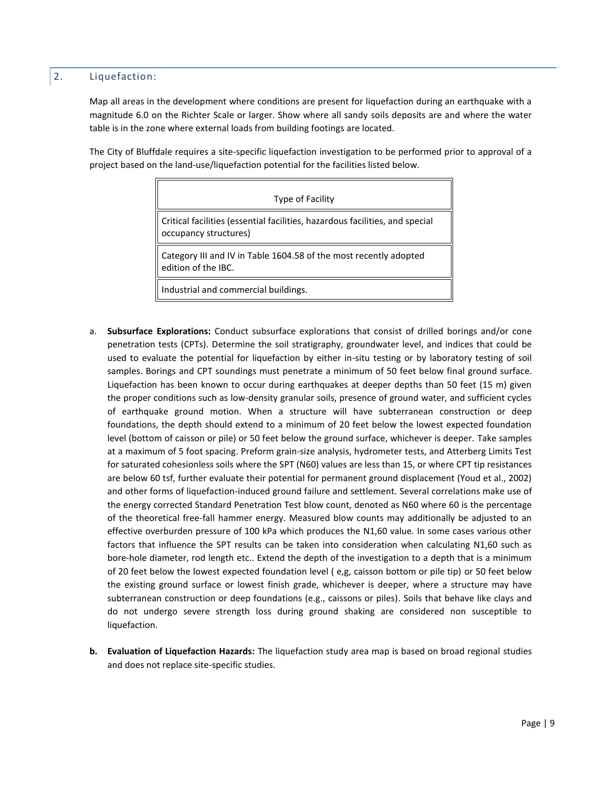### <span id="page-9-0"></span>2. Liquefaction:

Map all areas in the development where conditions are present for liquefaction during an earthquake with a magnitude 6.0 on the Richter Scale or larger. Show where all sandy soils deposits are and where the water table is in the zone where external loads from building footings are located.

The City of Bluffdale requires a site-specific liquefaction investigation to be performed prior to approval of a project based on the land-use/liquefaction potential for the facilities listed below.

| Type of Facility                                                                                      |  |  |  |
|-------------------------------------------------------------------------------------------------------|--|--|--|
| Critical facilities (essential facilities, hazardous facilities, and special<br>occupancy structures) |  |  |  |
| Category III and IV in Table 1604.58 of the most recently adopted<br>edition of the IBC.              |  |  |  |
| Industrial and commercial buildings.                                                                  |  |  |  |

- a. **Subsurface Explorations:** Conduct subsurface explorations that consist of drilled borings and/or cone penetration tests (CPTs). Determine the soil stratigraphy, groundwater level, and indices that could be used to evaluate the potential for liquefaction by either in-situ testing or by laboratory testing of soil samples. Borings and CPT soundings must penetrate a minimum of 50 feet below final ground surface. Liquefaction has been known to occur during earthquakes at deeper depths than 50 feet (15 m) given the proper conditions such as low-density granular soils, presence of ground water, and sufficient cycles of earthquake ground motion. When a structure will have subterranean construction or deep foundations, the depth should extend to a minimum of 20 feet below the lowest expected foundation level (bottom of caisson or pile) or 50 feet below the ground surface, whichever is deeper. Take samples at a maximum of 5 foot spacing. Preform grain-size analysis, hydrometer tests, and Atterberg Limits Test for saturated cohesionless soils where the SPT (N60) values are less than 15, or where CPT tip resistances are below 60 tsf, further evaluate their potential for permanent ground displacement (Youd et al., 2002) and other forms of liquefaction-induced ground failure and settlement. Several correlations make use of the energy corrected Standard Penetration Test blow count, denoted as N60 where 60 is the percentage of the theoretical free-fall hammer energy. Measured blow counts may additionally be adjusted to an effective overburden pressure of 100 kPa which produces the N1,60 value. In some cases various other factors that influence the SPT results can be taken into consideration when calculating N1,60 such as bore-hole diameter, rod length etc.. Extend the depth of the investigation to a depth that is a minimum of 20 feet below the lowest expected foundation level ( e,g, caisson bottom or pile tip) or 50 feet below the existing ground surface or lowest finish grade, whichever is deeper, where a structure may have subterranean construction or deep foundations (e.g., caissons or piles). Soils that behave like clays and do not undergo severe strength loss during ground shaking are considered non susceptible to liquefaction.
- **b. Evaluation of Liquefaction Hazards:** The liquefaction study area map is based on broad regional studies and does not replace site-specific studies.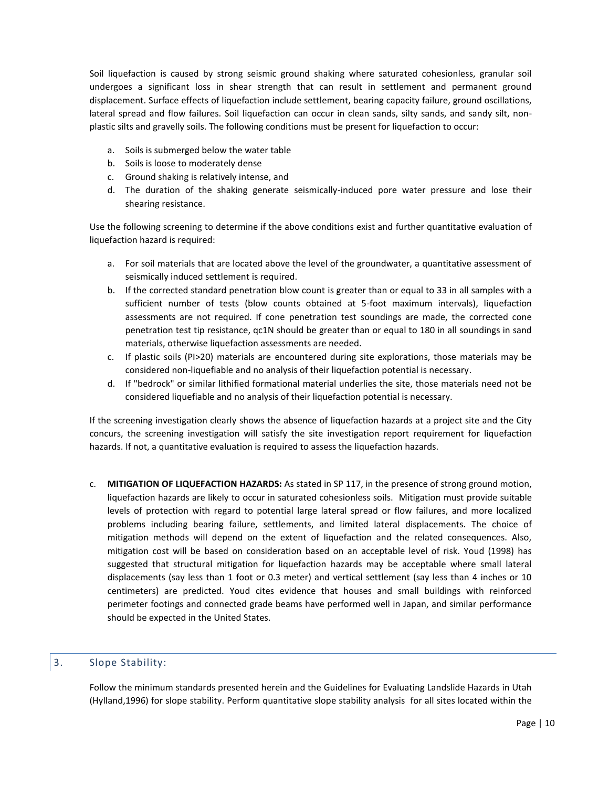Soil liquefaction is caused by strong seismic ground shaking where saturated cohesionless, granular soil undergoes a significant loss in shear strength that can result in settlement and permanent ground displacement. Surface effects of liquefaction include settlement, bearing capacity failure, ground oscillations, lateral spread and flow failures. Soil liquefaction can occur in clean sands, silty sands, and sandy silt, nonplastic silts and gravelly soils. The following conditions must be present for liquefaction to occur:

- a. Soils is submerged below the water table
- b. Soils is loose to moderately dense
- c. Ground shaking is relatively intense, and
- d. The duration of the shaking generate seismically-induced pore water pressure and lose their shearing resistance.

Use the following screening to determine if the above conditions exist and further quantitative evaluation of liquefaction hazard is required:

- a. For soil materials that are located above the level of the groundwater, a quantitative assessment of seismically induced settlement is required.
- b. If the corrected standard penetration blow count is greater than or equal to 33 in all samples with a sufficient number of tests (blow counts obtained at 5-foot maximum intervals), liquefaction assessments are not required. If cone penetration test soundings are made, the corrected cone penetration test tip resistance, qc1N should be greater than or equal to 180 in all soundings in sand materials, otherwise liquefaction assessments are needed.
- c. If plastic soils (PI>20) materials are encountered during site explorations, those materials may be considered non-liquefiable and no analysis of their liquefaction potential is necessary.
- d. If "bedrock" or similar lithified formational material underlies the site, those materials need not be considered liquefiable and no analysis of their liquefaction potential is necessary.

If the screening investigation clearly shows the absence of liquefaction hazards at a project site and the City concurs, the screening investigation will satisfy the site investigation report requirement for liquefaction hazards. If not, a quantitative evaluation is required to assess the liquefaction hazards.

c. **MITIGATION OF LIQUEFACTION HAZARDS:** As stated in SP 117, in the presence of strong ground motion, liquefaction hazards are likely to occur in saturated cohesionless soils. Mitigation must provide suitable levels of protection with regard to potential large lateral spread or flow failures, and more localized problems including bearing failure, settlements, and limited lateral displacements. The choice of mitigation methods will depend on the extent of liquefaction and the related consequences. Also, mitigation cost will be based on consideration based on an acceptable level of risk. Youd (1998) has suggested that structural mitigation for liquefaction hazards may be acceptable where small lateral displacements (say less than 1 foot or 0.3 meter) and vertical settlement (say less than 4 inches or 10 centimeters) are predicted. Youd cites evidence that houses and small buildings with reinforced perimeter footings and connected grade beams have performed well in Japan, and similar performance should be expected in the United States.

#### <span id="page-10-0"></span>3. Slope Stability:

Follow the minimum standards presented herein and the Guidelines for Evaluating Landslide Hazards in Utah (Hylland,1996) for slope stability. Perform quantitative slope stability analysis for all sites located within the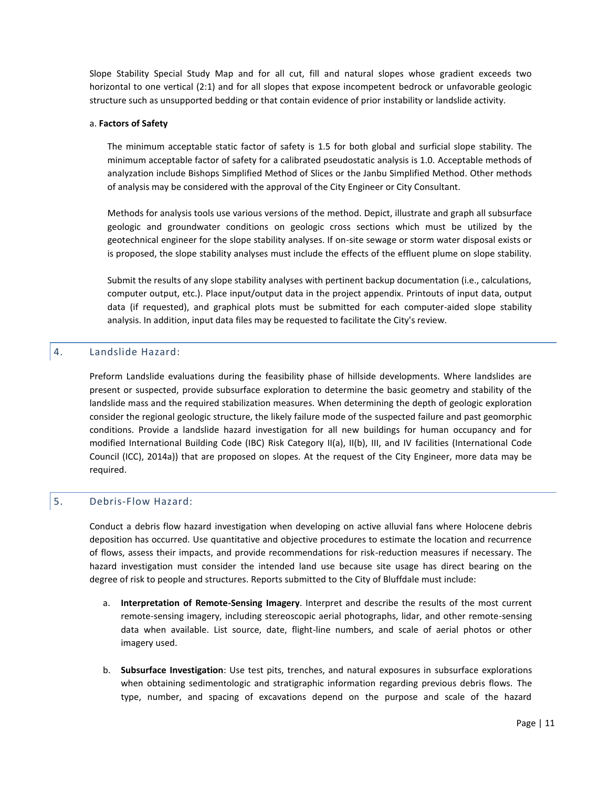Slope Stability Special Study Map and for all cut, fill and natural slopes whose gradient exceeds two horizontal to one vertical (2:1) and for all slopes that expose incompetent bedrock or unfavorable geologic structure such as unsupported bedding or that contain evidence of prior instability or landslide activity.

#### a. **Factors of Safety**

The minimum acceptable static factor of safety is 1.5 for both global and surficial slope stability. The minimum acceptable factor of safety for a calibrated pseudostatic analysis is 1.0. Acceptable methods of analyzation include Bishops Simplified Method of Slices or the Janbu Simplified Method. Other methods of analysis may be considered with the approval of the City Engineer or City Consultant.

Methods for analysis tools use various versions of the method. Depict, illustrate and graph all subsurface geologic and groundwater conditions on geologic cross sections which must be utilized by the geotechnical engineer for the slope stability analyses. If on-site sewage or storm water disposal exists or is proposed, the slope stability analyses must include the effects of the effluent plume on slope stability.

Submit the results of any slope stability analyses with pertinent backup documentation (i.e., calculations, computer output, etc.). Place input/output data in the project appendix. Printouts of input data, output data (if requested), and graphical plots must be submitted for each computer-aided slope stability analysis. In addition, input data files may be requested to facilitate the City's review.

#### <span id="page-11-0"></span>4. Landslide Hazard:

Preform Landslide evaluations during the feasibility phase of hillside developments. Where landslides are present or suspected, provide subsurface exploration to determine the basic geometry and stability of the landslide mass and the required stabilization measures. When determining the depth of geologic exploration consider the regional geologic structure, the likely failure mode of the suspected failure and past geomorphic conditions. Provide a landslide hazard investigation for all new buildings for human occupancy and for modified International Building Code (IBC) Risk Category II(a), II(b), III, and IV facilities (International Code Council (ICC), 2014a)) that are proposed on slopes. At the request of the City Engineer, more data may be required.

#### <span id="page-11-1"></span>5. Debris-Flow Hazard:

Conduct a debris flow hazard investigation when developing on active alluvial fans where Holocene debris deposition has occurred. Use quantitative and objective procedures to estimate the location and recurrence of flows, assess their impacts, and provide recommendations for risk-reduction measures if necessary. The hazard investigation must consider the intended land use because site usage has direct bearing on the degree of risk to people and structures. Reports submitted to the City of Bluffdale must include:

- a. **Interpretation of Remote-Sensing Imagery**. Interpret and describe the results of the most current remote-sensing imagery, including stereoscopic aerial photographs, lidar, and other remote-sensing data when available. List source, date, flight-line numbers, and scale of aerial photos or other imagery used.
- b. **Subsurface Investigation**: Use test pits, trenches, and natural exposures in subsurface explorations when obtaining sedimentologic and stratigraphic information regarding previous debris flows. The type, number, and spacing of excavations depend on the purpose and scale of the hazard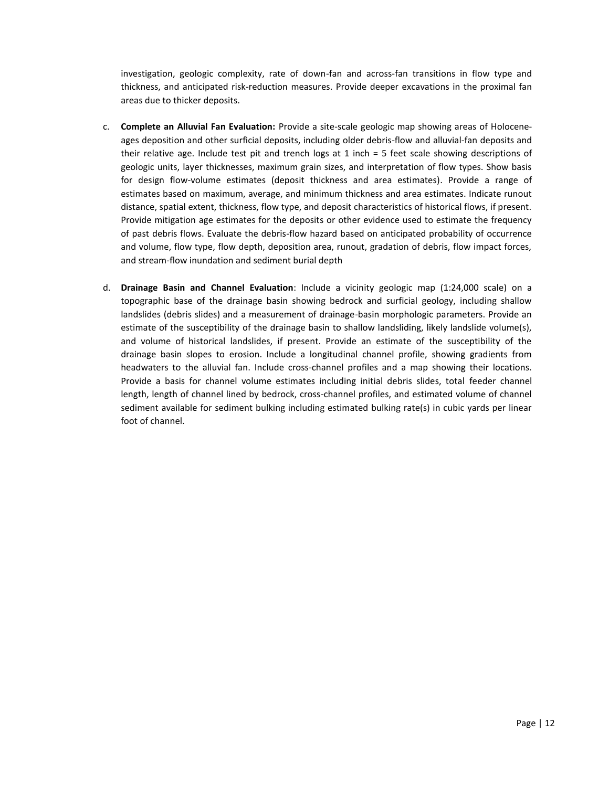investigation, geologic complexity, rate of down-fan and across-fan transitions in flow type and thickness, and anticipated risk-reduction measures. Provide deeper excavations in the proximal fan areas due to thicker deposits.

- c. **Complete an Alluvial Fan Evaluation:** Provide a site-scale geologic map showing areas of Holoceneages deposition and other surficial deposits, including older debris-flow and alluvial-fan deposits and their relative age. Include test pit and trench logs at 1 inch = 5 feet scale showing descriptions of geologic units, layer thicknesses, maximum grain sizes, and interpretation of flow types. Show basis for design flow-volume estimates (deposit thickness and area estimates). Provide a range of estimates based on maximum, average, and minimum thickness and area estimates. Indicate runout distance, spatial extent, thickness, flow type, and deposit characteristics of historical flows, if present. Provide mitigation age estimates for the deposits or other evidence used to estimate the frequency of past debris flows. Evaluate the debris-flow hazard based on anticipated probability of occurrence and volume, flow type, flow depth, deposition area, runout, gradation of debris, flow impact forces, and stream-flow inundation and sediment burial depth
- d. **Drainage Basin and Channel Evaluation**: Include a vicinity geologic map (1:24,000 scale) on a topographic base of the drainage basin showing bedrock and surficial geology, including shallow landslides (debris slides) and a measurement of drainage-basin morphologic parameters. Provide an estimate of the susceptibility of the drainage basin to shallow landsliding, likely landslide volume(s), and volume of historical landslides, if present. Provide an estimate of the susceptibility of the drainage basin slopes to erosion. Include a longitudinal channel profile, showing gradients from headwaters to the alluvial fan. Include cross-channel profiles and a map showing their locations. Provide a basis for channel volume estimates including initial debris slides, total feeder channel length, length of channel lined by bedrock, cross-channel profiles, and estimated volume of channel sediment available for sediment bulking including estimated bulking rate(s) in cubic yards per linear foot of channel.